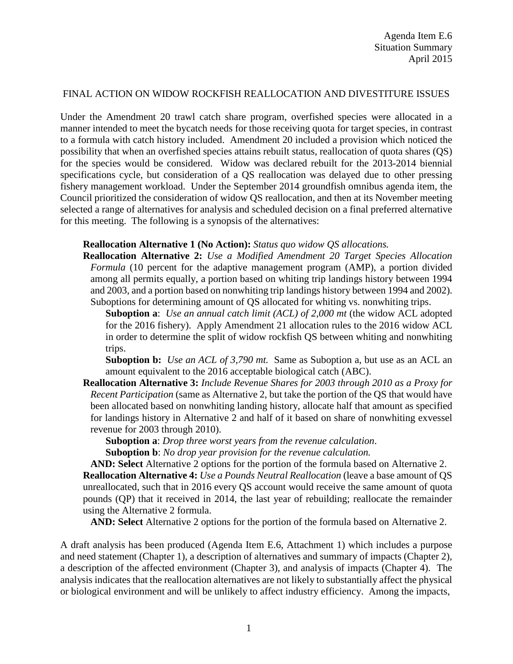#### FINAL ACTION ON WIDOW ROCKFISH REALLOCATION AND DIVESTITURE ISSUES

Under the Amendment 20 trawl catch share program, overfished species were allocated in a manner intended to meet the bycatch needs for those receiving quota for target species, in contrast to a formula with catch history included. Amendment 20 included a provision which noticed the possibility that when an overfished species attains rebuilt status, reallocation of quota shares (QS) for the species would be considered. Widow was declared rebuilt for the 2013-2014 biennial specifications cycle, but consideration of a QS reallocation was delayed due to other pressing fishery management workload. Under the September 2014 groundfish omnibus agenda item, the Council prioritized the consideration of widow QS reallocation, and then at its November meeting selected a range of alternatives for analysis and scheduled decision on a final preferred alternative for this meeting. The following is a synopsis of the alternatives:

#### **Reallocation Alternative 1 (No Action):** *Status quo widow QS allocations.*

**Reallocation Alternative 2:** *Use a Modified Amendment 20 Target Species Allocation Formula* (10 percent for the adaptive management program (AMP), a portion divided among all permits equally, a portion based on whiting trip landings history between 1994 and 2003, and a portion based on nonwhiting trip landings history between 1994 and 2002). Suboptions for determining amount of QS allocated for whiting vs. nonwhiting trips.

**Suboption a**: *Use an annual catch limit (ACL) of 2,000 mt* (the widow ACL adopted for the 2016 fishery). Apply Amendment 21 allocation rules to the 2016 widow ACL in order to determine the split of widow rockfish QS between whiting and nonwhiting trips.

**Suboption b:** *Use an ACL of 3,790 mt.* Same as Suboption a, but use as an ACL an amount equivalent to the 2016 acceptable biological catch (ABC).

**Reallocation Alternative 3:** *Include Revenue Shares for 2003 through 2010 as a Proxy for Recent Participation* (same as Alternative 2, but take the portion of the QS that would have been allocated based on nonwhiting landing history, allocate half that amount as specified for landings history in Alternative 2 and half of it based on share of nonwhiting exvessel revenue for 2003 through 2010).

**Suboption a**: *Drop three worst years from the revenue calculation*.

**Suboption b**: *No drop year provision for the revenue calculation.*

**AND: Select** Alternative 2 options for the portion of the formula based on Alternative 2.

**Reallocation Alternative 4:** *Use a Pounds Neutral Reallocation* (leave a base amount of QS unreallocated, such that in 2016 every QS account would receive the same amount of quota pounds (QP) that it received in 2014, the last year of rebuilding; reallocate the remainder using the Alternative 2 formula.

**AND: Select** Alternative 2 options for the portion of the formula based on Alternative 2.

A draft analysis has been produced (Agenda Item E.6, Attachment 1) which includes a purpose and need statement (Chapter 1), a description of alternatives and summary of impacts (Chapter 2), a description of the affected environment (Chapter 3), and analysis of impacts (Chapter 4). The analysis indicates that the reallocation alternatives are not likely to substantially affect the physical or biological environment and will be unlikely to affect industry efficiency. Among the impacts,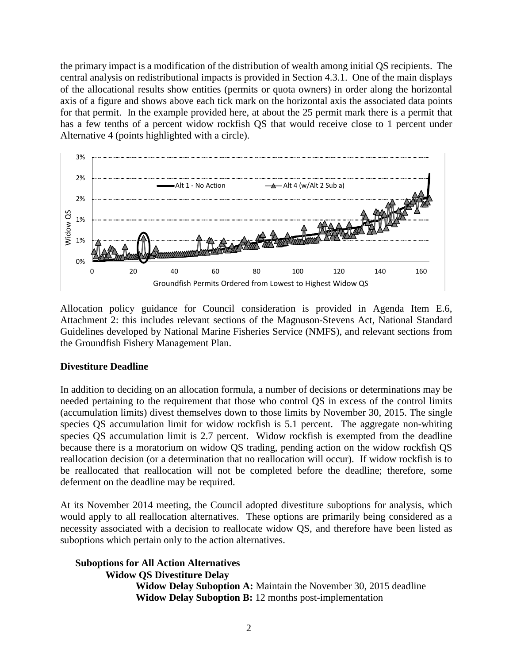the primary impact is a modification of the distribution of wealth among initial QS recipients. The central analysis on redistributional impacts is provided in Section 4.3.1. One of the main displays of the allocational results show entities (permits or quota owners) in order along the horizontal axis of a figure and shows above each tick mark on the horizontal axis the associated data points for that permit. In the example provided here, at about the 25 permit mark there is a permit that has a few tenths of a percent widow rockfish QS that would receive close to 1 percent under Alternative 4 (points highlighted with a circle).



Allocation policy guidance for Council consideration is provided in Agenda Item E.6, Attachment 2: this includes relevant sections of the Magnuson-Stevens Act, National Standard Guidelines developed by National Marine Fisheries Service (NMFS), and relevant sections from the Groundfish Fishery Management Plan.

### **Divestiture Deadline**

In addition to deciding on an allocation formula, a number of decisions or determinations may be needed pertaining to the requirement that those who control QS in excess of the control limits (accumulation limits) divest themselves down to those limits by November 30, 2015. The single species QS accumulation limit for widow rockfish is 5.1 percent. The aggregate non-whiting species QS accumulation limit is 2.7 percent. Widow rockfish is exempted from the deadline because there is a moratorium on widow QS trading, pending action on the widow rockfish QS reallocation decision (or a determination that no reallocation will occur). If widow rockfish is to be reallocated that reallocation will not be completed before the deadline; therefore, some deferment on the deadline may be required.

At its November 2014 meeting, the Council adopted divestiture suboptions for analysis, which would apply to all reallocation alternatives. These options are primarily being considered as a necessity associated with a decision to reallocate widow QS, and therefore have been listed as suboptions which pertain only to the action alternatives.

**Suboptions for All Action Alternatives Widow QS Divestiture Delay Widow Delay Suboption A:** Maintain the November 30, 2015 deadline **Widow Delay Suboption B:** 12 months post-implementation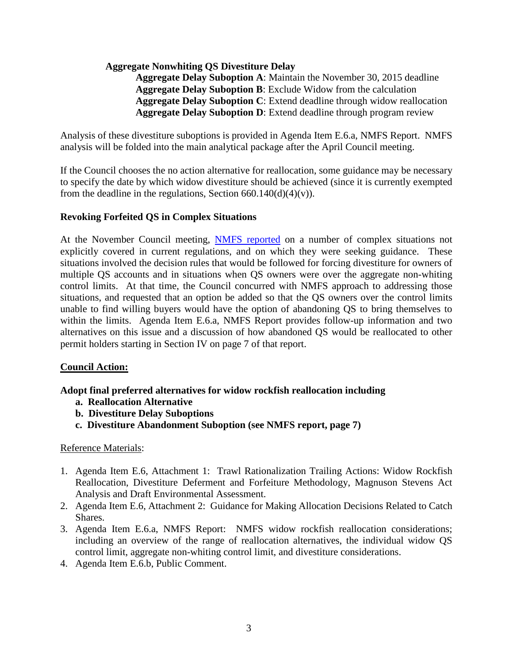## **Aggregate Nonwhiting QS Divestiture Delay**

**Aggregate Delay Suboption A**: Maintain the November 30, 2015 deadline **Aggregate Delay Suboption B**: Exclude Widow from the calculation **Aggregate Delay Suboption C**: Extend deadline through widow reallocation **Aggregate Delay Suboption D**: Extend deadline through program review

Analysis of these divestiture suboptions is provided in Agenda Item E.6.a, NMFS Report. NMFS analysis will be folded into the main analytical package after the April Council meeting.

If the Council chooses the no action alternative for reallocation, some guidance may be necessary to specify the date by which widow divestiture should be achieved (since it is currently exempted from the deadline in the regulations, Section  $660.140(d)(4)(v)$ .

## **Revoking Forfeited QS in Complex Situations**

At the November Council meeting, [NMFS reported](http://www.pcouncil.org/wp-content/uploads/J2b_Sup_NMFS_Rpt2_WidowDivest_NOV2014BB.pdf) on a number of complex situations not explicitly covered in current regulations, and on which they were seeking guidance. These situations involved the decision rules that would be followed for forcing divestiture for owners of multiple QS accounts and in situations when QS owners were over the aggregate non-whiting control limits. At that time, the Council concurred with NMFS approach to addressing those situations, and requested that an option be added so that the QS owners over the control limits unable to find willing buyers would have the option of abandoning QS to bring themselves to within the limits. Agenda Item E.6.a, NMFS Report provides follow-up information and two alternatives on this issue and a discussion of how abandoned QS would be reallocated to other permit holders starting in Section IV on page 7 of that report.

### **Council Action:**

# **Adopt final preferred alternatives for widow rockfish reallocation including**

- **a. Reallocation Alternative**
- **b. Divestiture Delay Suboptions**
- **c. Divestiture Abandonment Suboption (see NMFS report, page 7)**

### Reference Materials:

- 1. Agenda Item E.6, Attachment 1: Trawl Rationalization Trailing Actions: Widow Rockfish Reallocation, Divestiture Deferment and Forfeiture Methodology, Magnuson Stevens Act Analysis and Draft Environmental Assessment.
- 2. Agenda Item E.6, Attachment 2: Guidance for Making Allocation Decisions Related to Catch Shares.
- 3. Agenda Item E.6.a, NMFS Report: NMFS widow rockfish reallocation considerations; including an overview of the range of reallocation alternatives, the individual widow QS control limit, aggregate non-whiting control limit, and divestiture considerations.
- 4. Agenda Item E.6.b, Public Comment.